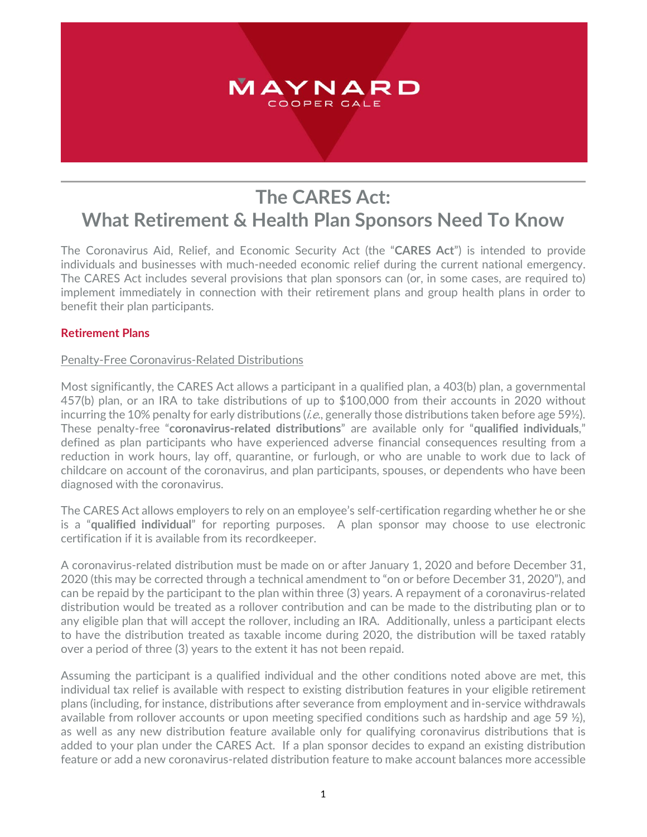# MAYNARD COOPER GALE

# **The CARES Act: What Retirement & Health Plan Sponsors Need To Know**

The Coronavirus Aid, Relief, and Economic Security Act (the "**CARES Act**") is intended to provide individuals and businesses with much-needed economic relief during the current national emergency. The CARES Act includes several provisions that plan sponsors can (or, in some cases, are required to) implement immediately in connection with their retirement plans and group health plans in order to benefit their plan participants.

# **Retirement Plans**

#### Penalty-Free Coronavirus-Related Distributions

Most significantly, the CARES Act allows a participant in a qualified plan, a 403(b) plan, a governmental 457(b) plan, or an IRA to take distributions of up to \$100,000 from their accounts in 2020 without incurring the 10% penalty for early distributions (*i.e.*, generally those distributions taken before age 59 $\frac{1}{2}$ ). These penalty-free "**coronavirus-related distributions**" are available only for "**qualified individuals**," defined as plan participants who have experienced adverse financial consequences resulting from a reduction in work hours, lay off, quarantine, or furlough, or who are unable to work due to lack of childcare on account of the coronavirus, and plan participants, spouses, or dependents who have been diagnosed with the coronavirus.

The CARES Act allows employers to rely on an employee's self-certification regarding whether he or she is a "**qualified individual**" for reporting purposes. A plan sponsor may choose to use electronic certification if it is available from its recordkeeper.

A coronavirus-related distribution must be made on or after January 1, 2020 and before December 31, 2020 (this may be corrected through a technical amendment to "on or before December 31, 2020"), and can be repaid by the participant to the plan within three (3) years. A repayment of a coronavirus-related distribution would be treated as a rollover contribution and can be made to the distributing plan or to any eligible plan that will accept the rollover, including an IRA. Additionally, unless a participant elects to have the distribution treated as taxable income during 2020, the distribution will be taxed ratably over a period of three (3) years to the extent it has not been repaid.

Assuming the participant is a qualified individual and the other conditions noted above are met, this individual tax relief is available with respect to existing distribution features in your eligible retirement plans (including, for instance, distributions after severance from employment and in-service withdrawals available from rollover accounts or upon meeting specified conditions such as hardship and age 59  $\frac{1}{2}$ ), as well as any new distribution feature available only for qualifying coronavirus distributions that is added to your plan under the CARES Act. If a plan sponsor decides to expand an existing distribution feature or add a new coronavirus-related distribution feature to make account balances more accessible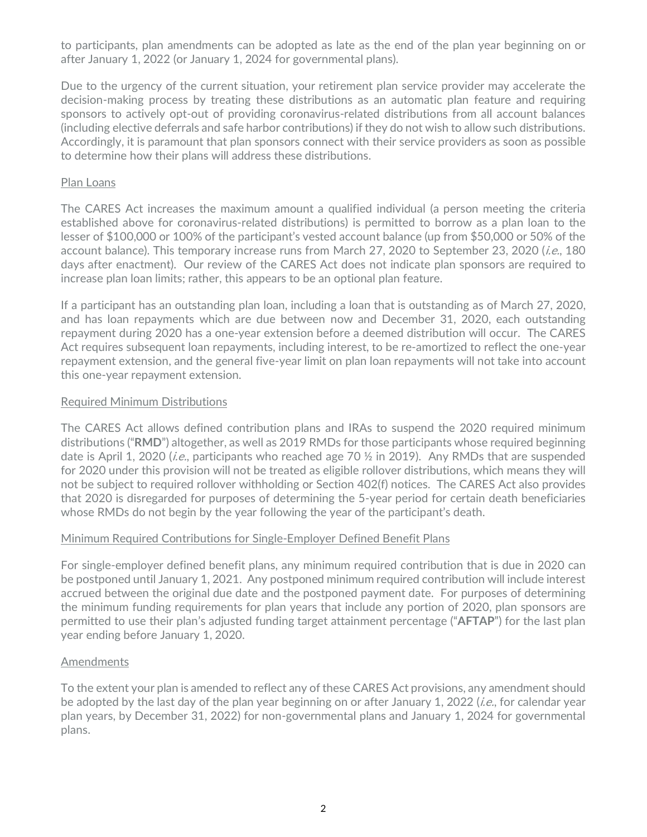to participants, plan amendments can be adopted as late as the end of the plan year beginning on or after January 1, 2022 (or January 1, 2024 for governmental plans).

Due to the urgency of the current situation, your retirement plan service provider may accelerate the decision-making process by treating these distributions as an automatic plan feature and requiring sponsors to actively opt-out of providing coronavirus-related distributions from all account balances (including elective deferrals and safe harbor contributions) if they do not wish to allow such distributions. Accordingly, it is paramount that plan sponsors connect with their service providers as soon as possible to determine how their plans will address these distributions.

### Plan Loans

The CARES Act increases the maximum amount a qualified individual (a person meeting the criteria established above for coronavirus-related distributions) is permitted to borrow as a plan loan to the lesser of \$100,000 or 100% of the participant's vested account balance (up from \$50,000 or 50% of the account balance). This temporary increase runs from March 27, 2020 to September 23, 2020 (*i.e.*, 180 days after enactment). Our review of the CARES Act does not indicate plan sponsors are required to increase plan loan limits; rather, this appears to be an optional plan feature.

If a participant has an outstanding plan loan, including a loan that is outstanding as of March 27, 2020, and has loan repayments which are due between now and December 31, 2020, each outstanding repayment during 2020 has a one-year extension before a deemed distribution will occur. The CARES Act requires subsequent loan repayments, including interest, to be re-amortized to reflect the one-year repayment extension, and the general five-year limit on plan loan repayments will not take into account this one-year repayment extension.

### Required Minimum Distributions

The CARES Act allows defined contribution plans and IRAs to suspend the 2020 required minimum distributions ("**RMD**") altogether, as well as 2019 RMDs for those participants whose required beginning date is April 1, 2020 (*i.e.*, participants who reached age 70  $\frac{1}{2}$  in 2019). Any RMDs that are suspended for 2020 under this provision will not be treated as eligible rollover distributions, which means they will not be subject to required rollover withholding or Section 402(f) notices. The CARES Act also provides that 2020 is disregarded for purposes of determining the 5-year period for certain death beneficiaries whose RMDs do not begin by the year following the year of the participant's death.

# Minimum Required Contributions for Single-Employer Defined Benefit Plans

For single-employer defined benefit plans, any minimum required contribution that is due in 2020 can be postponed until January 1, 2021. Any postponed minimum required contribution will include interest accrued between the original due date and the postponed payment date. For purposes of determining the minimum funding requirements for plan years that include any portion of 2020, plan sponsors are permitted to use their plan's adjusted funding target attainment percentage ("**AFTAP**") for the last plan year ending before January 1, 2020.

#### **Amendments**

To the extent your plan is amended to reflect any of these CARES Act provisions, any amendment should be adopted by the last day of the plan year beginning on or after January 1, 2022 (*i.e.*, for calendar year plan years, by December 31, 2022) for non-governmental plans and January 1, 2024 for governmental plans.